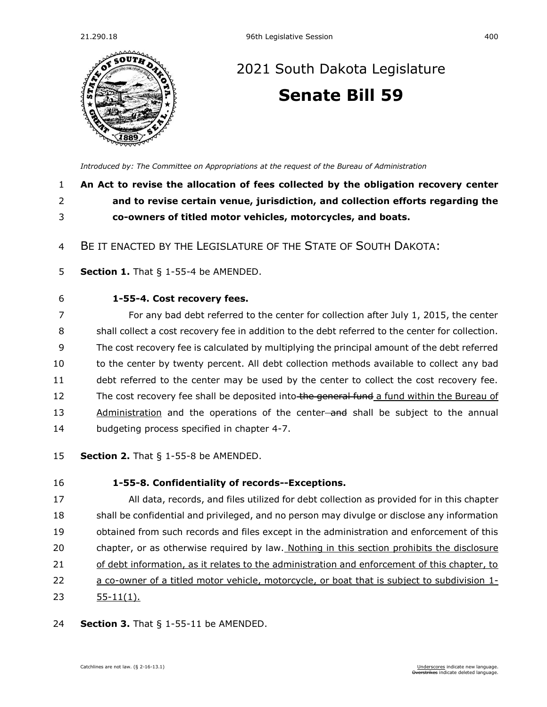

# [2021 South Dakota Legislature](https://sdlegislature.gov/Session/Bills/44) **[Senate Bill 59](https://sdlegislature.gov/Session/Bill/22010)**

*[Introduced by: The Committee on Appropriations](https://sdlegislature.gov/Session/Committee/505/Detail) at the request of the Bureau of Administration*

### 1 **An Act to revise the allocation of fees collected by the obligation recovery center**  2 **and to revise certain venue, jurisdiction, and collection efforts regarding the**  3 **co-owners of titled motor vehicles, motorcycles, and boats.**

4 BE IT ENACTED BY THE LEGISLATURE OF THE STATE OF SOUTH DAKOTA:

- 5 **Section 1.** [That § 1-55-4 be AMENDED.](https://sdlegislature.gov/Statutes/Codified_Laws/DisplayStatute.aspx?Type=Statute&Statute=1-55-4)
- 

#### 6 **[1-55-4. C](https://sdlegislature.gov/Statutes/Codified_Laws/DisplayStatute.aspx?Type=Statute&Statute=1-55-4)ost recovery fees.**

7 For any bad debt referred to the center for collection after July 1, 2015, the center 8 shall collect a cost recovery fee in addition to the debt referred to the center for collection. 9 The cost recovery fee is calculated by multiplying the principal amount of the debt referred 10 to the center by twenty percent. All debt collection methods available to collect any bad 11 debt referred to the center may be used by the center to collect the cost recovery fee. 12 The cost recovery fee shall be deposited into the general fund a fund within the Bureau of 13 Administration and the operations of the center-and shall be subject to the annual 14 budgeting process specified in chapter [4-7.](https://sdlegislature.gov/Statutes/Codified_Laws/DisplayStatute.aspx?Type=Statute&Statute=4-7)

15 **Section 2.** [That § 1-55-8 be AMENDED.](https://sdlegislature.gov/Statutes/Codified_Laws/DisplayStatute.aspx?Type=Statute&Statute=1-55-8)

### 16 **[1-55-8. C](https://sdlegislature.gov/Statutes/Codified_Laws/DisplayStatute.aspx?Type=Statute&Statute=1-55-8)onfidentiality of records--Exceptions.** 17 All data, records, and files utilized for debt collection as provided for in this chapter 18 shall be confidential and privileged, and no person may divulge or disclose any information 19 obtained from such records and files except in the administration and enforcement of this 20 chapter, or as otherwise required by law. Nothing in this section prohibits the disclosure 21 of debt information, as it relates to the administration and enforcement of this chapter, to 22 a co-owner of a titled motor vehicle, motorcycle, or boat that is subject to subdivision [1-](https://sdlegislature.gov/Statutes/Codified_Laws/DisplayStatute.aspx?Type=Statute&Statute=1-55-11)

23 [55-11\(](https://sdlegislature.gov/Statutes/Codified_Laws/DisplayStatute.aspx?Type=Statute&Statute=1-55-11)1).

24 **Section 3.** [That § 1-55-11 be AMENDED.](https://sdlegislature.gov/Statutes/Codified_Laws/DisplayStatute.aspx?Type=Statute&Statute=1-55-11)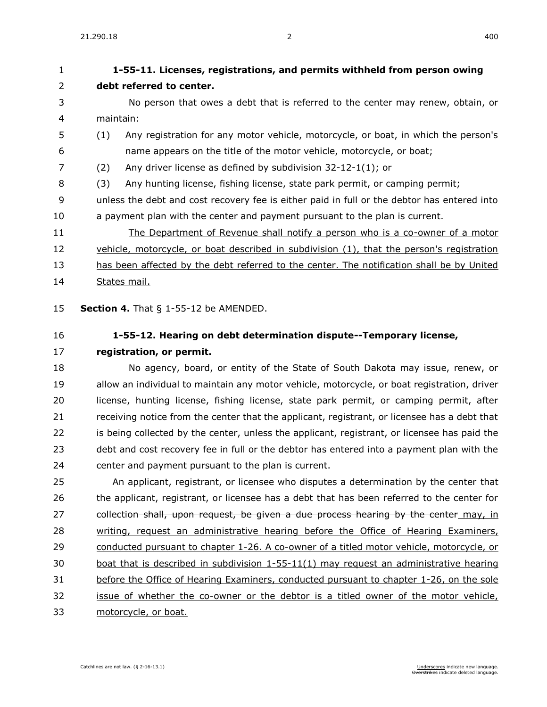## **[1-55-11. L](https://sdlegislature.gov/Statutes/Codified_Laws/DisplayStatute.aspx?Type=Statute&Statute=1-55-11)icenses, registrations, and permits withheld from person owing debt referred to center.** No person that owes a debt that is referred to the center may renew, obtain, or maintain: (1) Any registration for any motor vehicle, motorcycle, or boat, in which the person's name appears on the title of the motor vehicle, motorcycle, or boat; (2) Any driver license as defined by subdivision [32-12-1\(](https://sdlegislature.gov/Statutes/Codified_Laws/DisplayStatute.aspx?Type=Statute&Statute=32-12-1)1); or (3) Any hunting license, fishing license, state park permit, or camping permit; unless the debt and cost recovery fee is either paid in full or the debtor has entered into a payment plan with the center and payment pursuant to the plan is current. The Department of Revenue shall notify a person who is a co-owner of a motor 12 vehicle, motorcycle, or boat described in subdivision (1), that the person's registration has been affected by the debt referred to the center. The notification shall be by United States mail. **Section 4.** [That § 1-55-12 be AMENDED.](https://sdlegislature.gov/Statutes/Codified_Laws/DisplayStatute.aspx?Type=Statute&Statute=1-55-12) **[1-55-12. H](https://sdlegislature.gov/Statutes/Codified_Laws/DisplayStatute.aspx?Type=Statute&Statute=1-55-12)earing on debt determination dispute--Temporary license, registration, or permit.** No agency, board, or entity of the State of South Dakota may issue, renew, or allow an individual to maintain any motor vehicle, motorcycle, or boat registration, driver license, hunting license, fishing license, state park permit, or camping permit, after 21 receiving notice from the center that the applicant, registrant, or licensee has a debt that is being collected by the center, unless the applicant, registrant, or licensee has paid the debt and cost recovery fee in full or the debtor has entered into a payment plan with the center and payment pursuant to the plan is current. An applicant, registrant, or licensee who disputes a determination by the center that 26 the applicant, registrant, or licensee has a debt that has been referred to the center for 27 collection shall, upon request, be given a due process hearing by the center may, in writing, request an administrative hearing before the Office of Hearing Examiners, conducted pursuant to chapter [1-26.](https://sdlegislature.gov/Statutes/Codified_Laws/DisplayStatute.aspx?Type=Statute&Statute=1-26) A co-owner of a titled motor vehicle, motorcycle, or boat that is described in subdivision [1-55-11\(](https://sdlegislature.gov/Statutes/Codified_Laws/DisplayStatute.aspx?Type=Statute&Statute=1-55-11)1) may request an administrative hearing before the Office of Hearing Examiners, conducted pursuant to chapter [1-26,](https://sdlegislature.gov/Statutes/Codified_Laws/DisplayStatute.aspx?Type=Statute&Statute=1-26) on the sole issue of whether the co-owner or the debtor is a titled owner of the motor vehicle, motorcycle, or boat.